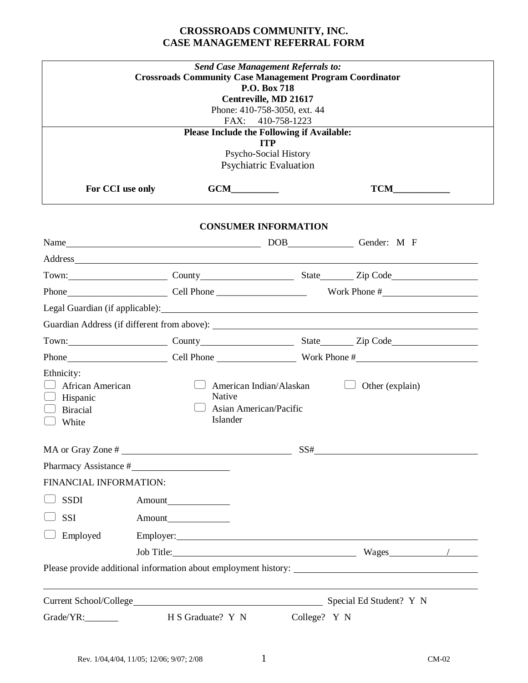# **CROSSROADS COMMUNITY, INC. CASE MANAGEMENT REFERRAL FORM**

|                                                                        | <b>Crossroads Community Case Management Program Coordinator</b><br>FAX:                                                                                                                                                        | <b>Send Case Management Referrals to:</b><br>P.O. Box 718<br>Centreville, MD 21617<br>Phone: 410-758-3050, ext. 44<br>410-758-1223<br><b>Please Include the Following if Available:</b><br><b>ITP</b><br>Psycho-Social History |                         |  |
|------------------------------------------------------------------------|--------------------------------------------------------------------------------------------------------------------------------------------------------------------------------------------------------------------------------|--------------------------------------------------------------------------------------------------------------------------------------------------------------------------------------------------------------------------------|-------------------------|--|
|                                                                        |                                                                                                                                                                                                                                | <b>Psychiatric Evaluation</b>                                                                                                                                                                                                  |                         |  |
| For CCI use only                                                       |                                                                                                                                                                                                                                | GCM                                                                                                                                                                                                                            |                         |  |
|                                                                        |                                                                                                                                                                                                                                | <b>CONSUMER INFORMATION</b>                                                                                                                                                                                                    |                         |  |
|                                                                        |                                                                                                                                                                                                                                |                                                                                                                                                                                                                                |                         |  |
|                                                                        | Address and the contract of the contract of the contract of the contract of the contract of the contract of the contract of the contract of the contract of the contract of the contract of the contract of the contract of th |                                                                                                                                                                                                                                |                         |  |
|                                                                        | Town: County County State Zip Code                                                                                                                                                                                             |                                                                                                                                                                                                                                |                         |  |
|                                                                        |                                                                                                                                                                                                                                |                                                                                                                                                                                                                                |                         |  |
|                                                                        |                                                                                                                                                                                                                                |                                                                                                                                                                                                                                |                         |  |
|                                                                        |                                                                                                                                                                                                                                |                                                                                                                                                                                                                                |                         |  |
|                                                                        | Town: County County State Zip Code                                                                                                                                                                                             |                                                                                                                                                                                                                                |                         |  |
|                                                                        | Phone Cell Phone Work Phone #                                                                                                                                                                                                  |                                                                                                                                                                                                                                |                         |  |
| Ethnicity:<br>African American<br>Hispanic<br><b>Biracial</b><br>White | Native<br>Islander                                                                                                                                                                                                             | American Indian/Alaskan<br>Asian American/Pacific                                                                                                                                                                              | Other (explain)         |  |
| MA or Gray Zone #                                                      | <u> 1989 - Johann Stein, mars an de Brasilia (b. 1989)</u>                                                                                                                                                                     | SS#                                                                                                                                                                                                                            |                         |  |
|                                                                        | Pharmacy Assistance #                                                                                                                                                                                                          |                                                                                                                                                                                                                                |                         |  |
| FINANCIAL INFORMATION:                                                 |                                                                                                                                                                                                                                |                                                                                                                                                                                                                                |                         |  |
| <b>SSDI</b>                                                            |                                                                                                                                                                                                                                |                                                                                                                                                                                                                                |                         |  |
| SSI                                                                    |                                                                                                                                                                                                                                |                                                                                                                                                                                                                                |                         |  |
| Employed                                                               |                                                                                                                                                                                                                                |                                                                                                                                                                                                                                |                         |  |
|                                                                        |                                                                                                                                                                                                                                |                                                                                                                                                                                                                                | $Wages$ /               |  |
|                                                                        |                                                                                                                                                                                                                                |                                                                                                                                                                                                                                |                         |  |
|                                                                        |                                                                                                                                                                                                                                |                                                                                                                                                                                                                                | Special Ed Student? Y N |  |
| Grade/YR:                                                              | H S Graduate? Y N                                                                                                                                                                                                              | College? Y N                                                                                                                                                                                                                   |                         |  |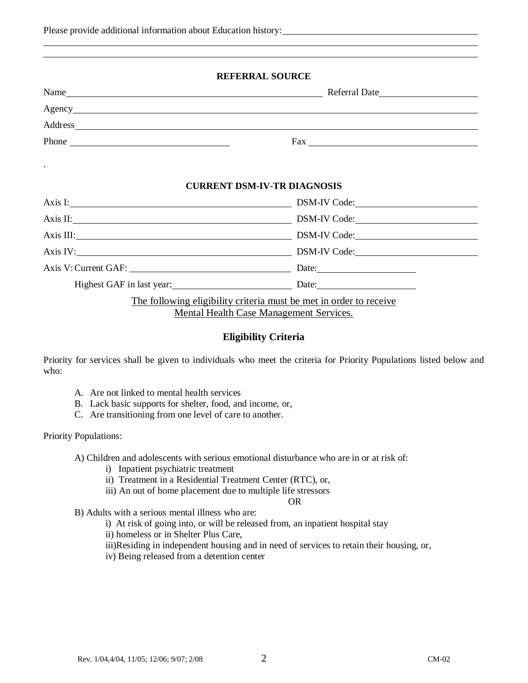|  | Please provide additional information about Education history: |
|--|----------------------------------------------------------------|
|--|----------------------------------------------------------------|

### **REFERRAL SOURCE**

| $\frac{1}{2}$ Fax $\frac{1}{2}$ $\frac{1}{2}$ $\frac{1}{2}$ $\frac{1}{2}$ $\frac{1}{2}$ $\frac{1}{2}$ $\frac{1}{2}$ $\frac{1}{2}$ $\frac{1}{2}$ $\frac{1}{2}$ $\frac{1}{2}$ $\frac{1}{2}$ $\frac{1}{2}$ $\frac{1}{2}$ $\frac{1}{2}$ $\frac{1}{2}$ $\frac{1}{2}$ $\frac{1}{2}$ $\frac{1}{2}$ $\frac{1}{2}$ $\frac{1}{2$ |
|------------------------------------------------------------------------------------------------------------------------------------------------------------------------------------------------------------------------------------------------------------------------------------------------------------------------|
|                                                                                                                                                                                                                                                                                                                        |
| <b>CURRENT DSM-IV-TR DIAGNOSIS</b>                                                                                                                                                                                                                                                                                     |
| Axis I: DSM-IV Code:                                                                                                                                                                                                                                                                                                   |
| Axis II: DSM-IV Code:                                                                                                                                                                                                                                                                                                  |
| Axis III: DSM-IV Code:                                                                                                                                                                                                                                                                                                 |
| Axis IV: DSM-IV Code:                                                                                                                                                                                                                                                                                                  |
|                                                                                                                                                                                                                                                                                                                        |
| Highest GAF in last year: Date: Date:                                                                                                                                                                                                                                                                                  |
| The following eligibility criteria must be met in order to receive<br>Mental Health Case Management Services.                                                                                                                                                                                                          |

## **Eligibility Criteria**

Priority for services shall be given to individuals who meet the criteria for Priority Populations listed below and who:

- A. Are not linked to mental health services
- B. Lack basic supports for shelter, food, and income, or,
- C. Are transitioning from one level of care to another.

### Priority Populations:

A) Children and adolescents with serious emotional disturbance who are in or at risk of:

- i) Inpatient psychiatric treatment
- ii) Treatment in a Residential Treatment Center (RTC), or,
- iii) An out of home placement due to multiple life stressors

#### OR

- B) Adults with a serious mental illness who are:
	- i) At risk of going into, or will be released from, an inpatient hospital stay
	- ii) homeless or in Shelter Plus Care,
	- iii)Residing in independent housing and in need of services to retain their housing, or,
	- iv) Being released from a detention center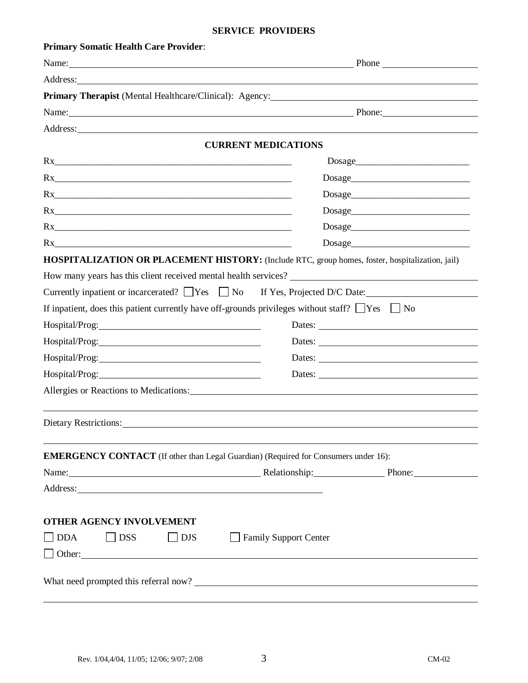#### **SERVICE PROVIDERS**

| <b>Primary Somatic Health Care Provider:</b>                                                              |                                                                                                                                                                                                                                |
|-----------------------------------------------------------------------------------------------------------|--------------------------------------------------------------------------------------------------------------------------------------------------------------------------------------------------------------------------------|
|                                                                                                           | Name: Phone Phone                                                                                                                                                                                                              |
| Address: <u>Address:</u>                                                                                  |                                                                                                                                                                                                                                |
| Primary Therapist (Mental Healthcare/Clinical): Agency:                                                   | <u> 1989 - Johann Stoff, Amerikaansk politiker († 1908)</u>                                                                                                                                                                    |
|                                                                                                           | Name: Phone: Phone:                                                                                                                                                                                                            |
|                                                                                                           |                                                                                                                                                                                                                                |
|                                                                                                           | <b>CURRENT MEDICATIONS</b>                                                                                                                                                                                                     |
| Rx                                                                                                        |                                                                                                                                                                                                                                |
| Rx                                                                                                        |                                                                                                                                                                                                                                |
| Rx                                                                                                        |                                                                                                                                                                                                                                |
| Rx                                                                                                        |                                                                                                                                                                                                                                |
| Rx                                                                                                        |                                                                                                                                                                                                                                |
|                                                                                                           |                                                                                                                                                                                                                                |
|                                                                                                           | HOSPITALIZATION OR PLACEMENT HISTORY: (Include RTC, group homes, foster, hospitalization, jail)                                                                                                                                |
|                                                                                                           | How many years has this client received mental health services?                                                                                                                                                                |
|                                                                                                           | Currently inpatient or incarcerated? $\Box$ Yes $\Box$ No If Yes, Projected D/C Date:                                                                                                                                          |
| If inpatient, does this patient currently have off-grounds privileges without staff? $\Box$ Yes $\Box$ No |                                                                                                                                                                                                                                |
|                                                                                                           |                                                                                                                                                                                                                                |
|                                                                                                           | Dates:                                                                                                                                                                                                                         |
|                                                                                                           | Dates:                                                                                                                                                                                                                         |
|                                                                                                           |                                                                                                                                                                                                                                |
|                                                                                                           | Allergies or Reactions to Medications: Manual Allergies or Reactions to Medications:                                                                                                                                           |
|                                                                                                           |                                                                                                                                                                                                                                |
| Dietary Restrictions:                                                                                     |                                                                                                                                                                                                                                |
|                                                                                                           |                                                                                                                                                                                                                                |
| <b>EMERGENCY CONTACT</b> (If other than Legal Guardian) (Required for Consumers under 16):                |                                                                                                                                                                                                                                |
|                                                                                                           | Name: Phone: Phone: Phone: Phone: Phone: Phone: Phone: Phone: Phone: Phone: Phone: Phone: Phone: Phone: Phone: Phone: Phone: Phone: Phone: Phone: Phone: Phone: Phone: Phone: Phone: Phone: Phone: Phone: Phone: Phone: Phone: |
|                                                                                                           |                                                                                                                                                                                                                                |
|                                                                                                           |                                                                                                                                                                                                                                |
| OTHER AGENCY INVOLVEMENT                                                                                  |                                                                                                                                                                                                                                |
| <b>DDA</b><br>$\Box$ DJS<br>$\vert$ DSS                                                                   | Family Support Center                                                                                                                                                                                                          |
|                                                                                                           |                                                                                                                                                                                                                                |
|                                                                                                           |                                                                                                                                                                                                                                |
|                                                                                                           |                                                                                                                                                                                                                                |

l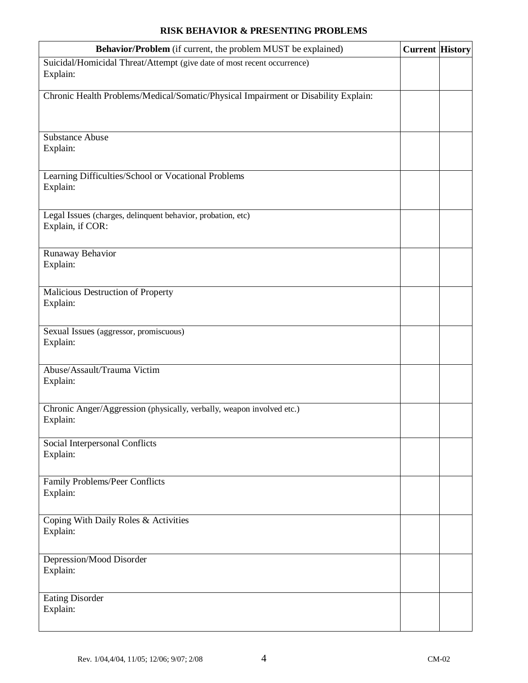## **RISK BEHAVIOR & PRESENTING PROBLEMS**

| Behavior/Problem (if current, the problem MUST be explained)                        | <b>Current History</b> |  |
|-------------------------------------------------------------------------------------|------------------------|--|
| Suicidal/Homicidal Threat/Attempt (give date of most recent occurrence)<br>Explain: |                        |  |
| Chronic Health Problems/Medical/Somatic/Physical Impairment or Disability Explain:  |                        |  |
| <b>Substance Abuse</b><br>Explain:                                                  |                        |  |
| Learning Difficulties/School or Vocational Problems<br>Explain:                     |                        |  |
| Legal Issues (charges, delinquent behavior, probation, etc)<br>Explain, if COR:     |                        |  |
| Runaway Behavior<br>Explain:                                                        |                        |  |
| Malicious Destruction of Property<br>Explain:                                       |                        |  |
| Sexual Issues (aggressor, promiscuous)<br>Explain:                                  |                        |  |
| Abuse/Assault/Trauma Victim<br>Explain:                                             |                        |  |
| Chronic Anger/Aggression (physically, verbally, weapon involved etc.)<br>Explain:   |                        |  |
| Social Interpersonal Conflicts<br>Explain:                                          |                        |  |
| Family Problems/Peer Conflicts<br>Explain:                                          |                        |  |
| Coping With Daily Roles & Activities<br>Explain:                                    |                        |  |
| Depression/Mood Disorder<br>Explain:                                                |                        |  |
| <b>Eating Disorder</b><br>Explain:                                                  |                        |  |